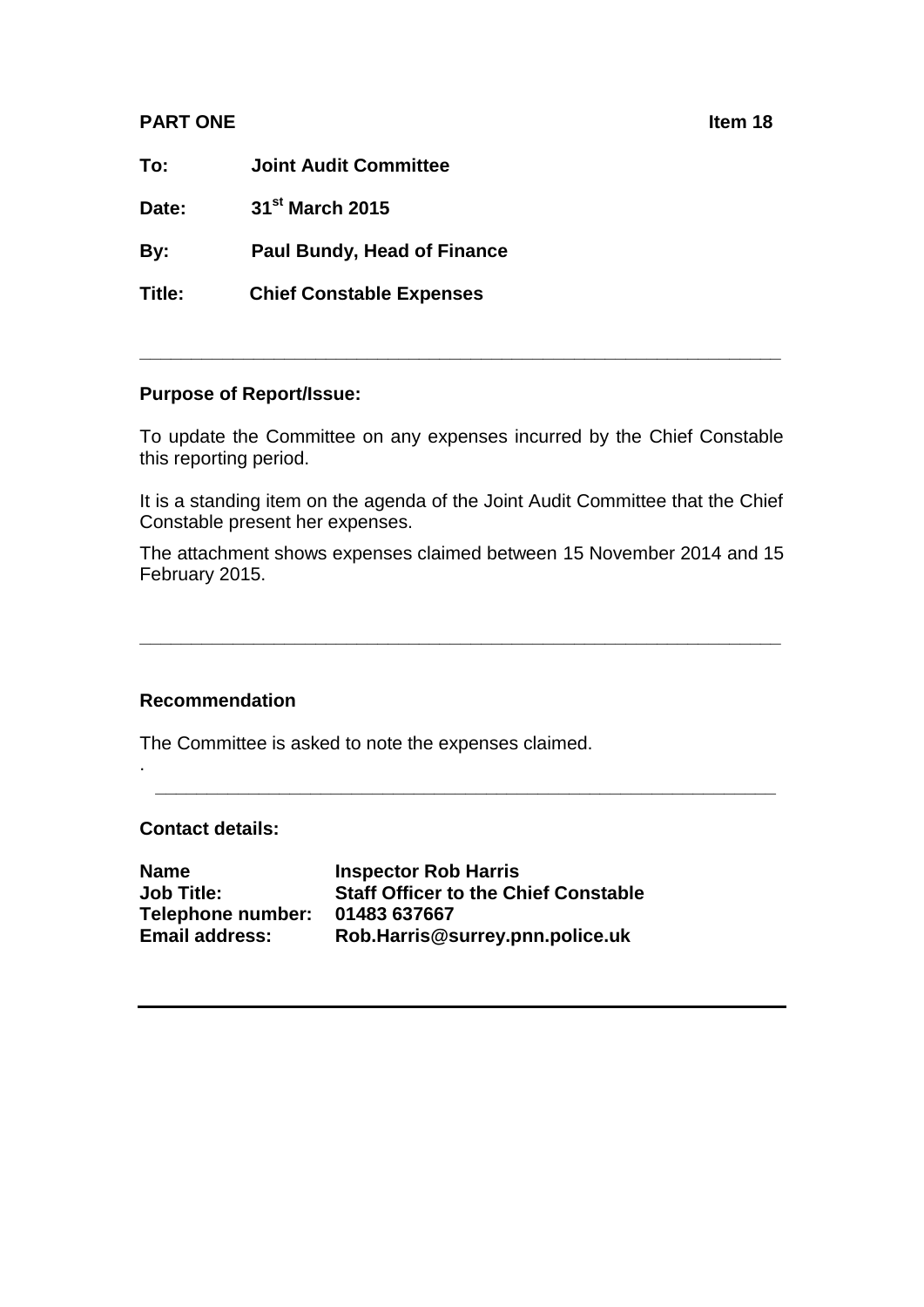## **PART ONE Ifem 18**

**To: Joint Audit Committee**

**Date: 31st March 2015**

**By: Paul Bundy, Head of Finance**

**Title: Chief Constable Expenses** 

## **Purpose of Report/Issue:**

To update the Committee on any expenses incurred by the Chief Constable this reporting period.

**\_\_\_\_\_\_\_\_\_\_\_\_\_\_\_\_\_\_\_\_\_\_\_\_\_\_\_\_\_\_\_\_\_\_\_\_\_\_\_\_\_\_\_\_\_\_\_\_\_\_\_\_\_\_\_\_\_\_\_\_\_\_**

It is a standing item on the agenda of the Joint Audit Committee that the Chief Constable present her expenses.

The attachment shows expenses claimed between 15 November 2014 and 15 February 2015.

**\_\_\_\_\_\_\_\_\_\_\_\_\_\_\_\_\_\_\_\_\_\_\_\_\_\_\_\_\_\_\_\_\_\_\_\_\_\_\_\_\_\_\_\_\_\_\_\_\_\_\_\_\_\_\_\_\_\_\_\_\_\_**

**\_\_\_\_\_\_\_\_\_\_\_\_\_\_\_\_\_\_\_\_\_\_\_\_\_\_\_\_\_\_\_\_\_\_\_\_\_\_\_\_\_\_\_\_\_\_\_\_\_\_\_\_\_\_\_\_\_\_\_\_**

## **Recommendation**

The Committee is asked to note the expenses claimed.

**Contact details:**

.

**Name Inspector Rob Harris Job Title: Staff Officer to the Chief Constable Telephone number: 01483 637667 Email address: Rob.Harris@surrey.pnn.police.uk**